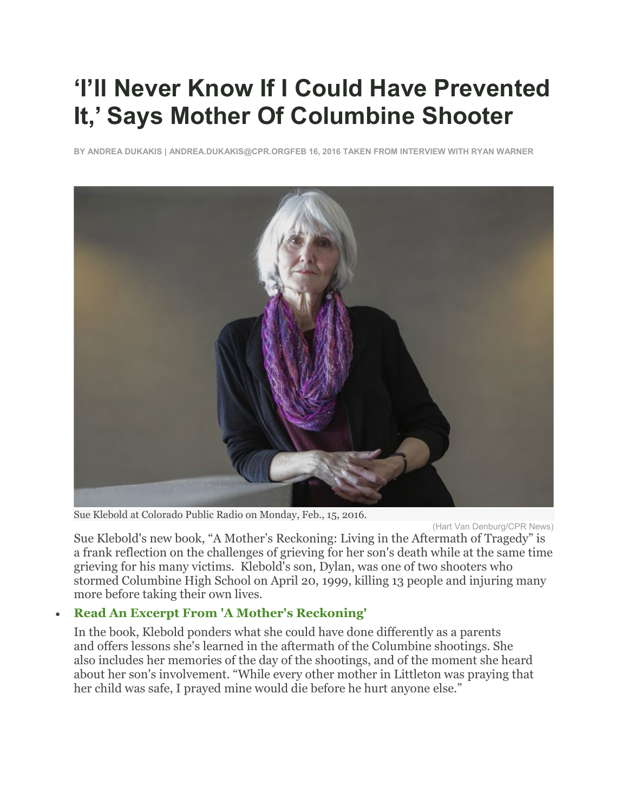# **'I'll Never Know If I Could Have Prevented It,' Says Mother Of Columbine Shooter**

**BY [ANDREA DUKAKIS](https://www.cpr.org/profile/andrea-dukakis) | [ANDREA.DUKAKIS@CPR.ORGF](mailto:andrea.dukakis@cpr.org?Subject=Audience%20Feedback)EB 16, 2016 TAKEN FROM INTERVIEW WITH RYAN WARNER**



Sue Klebold at Colorado Public Radio on Monday, Feb., 15, 2016.

(Hart Van Denburg/CPR News)

Sue Klebold's new book, "A Mother's Reckoning: Living in the Aftermath of Tragedy" is a frank reflection on the challenges of grieving for her son's death while at the same time grieving for his many victims. Klebold's son, Dylan, was one of two shooters who stormed Columbine High School on April 20, 1999, killing 13 people and injuring many more before taking their own lives.

# • **[Read An Excerpt From 'A Mother's Reckoning'](http://www.cpr.org/news/story/excerpt-mothers-reckoning-living-aftermath-tragedy-after-columbine)**

In the book, Klebold ponders what she could have done differently as a parents and offers lessons she's learned in the aftermath of the Columbine shootings. She also includes her memories of the day of the shootings, and of the moment she heard about her son's involvement. "While every other mother in Littleton was praying that her child was safe, I prayed mine would die before he hurt anyone else."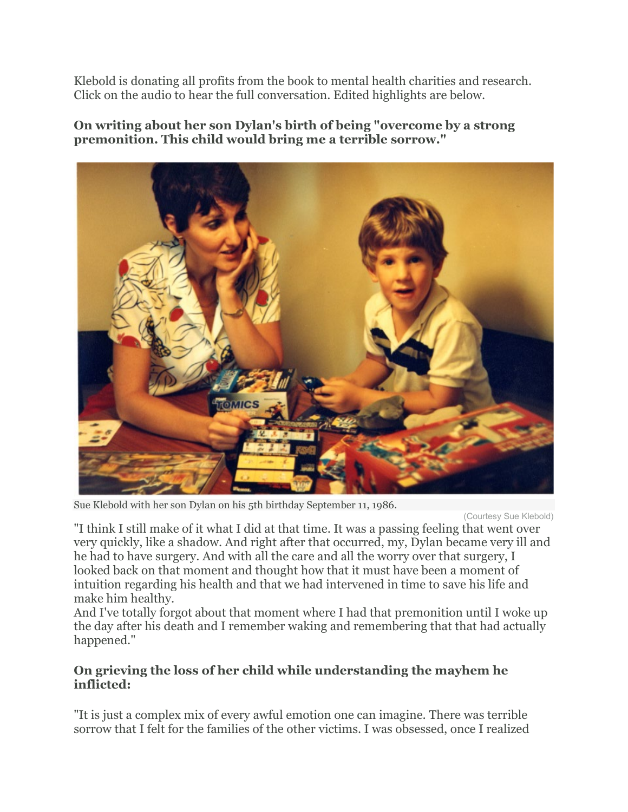Klebold is donating all profits from the book to mental health charities and research. Click on the audio to hear the full conversation. Edited highlights are below.

## **On writing about her son Dylan's birth of being "overcome by a strong premonition. This child would bring me a terrible sorrow."**



Sue Klebold with her son Dylan on his 5th birthday September 11, 1986.

(Courtesy Sue Klebold)

"I think I still make of it what I did at that time. It was a passing feeling that went over very quickly, like a shadow. And right after that occurred, my, Dylan became very ill and he had to have surgery. And with all the care and all the worry over that surgery, I looked back on that moment and thought how that it must have been a moment of intuition regarding his health and that we had intervened in time to save his life and make him healthy.

And I've totally forgot about that moment where I had that premonition until I woke up the day after his death and I remember waking and remembering that that had actually happened."

## **On grieving the loss of her child while understanding the mayhem he inflicted:**

"It is just a complex mix of every awful emotion one can imagine. There was terrible sorrow that I felt for the families of the other victims. I was obsessed, once I realized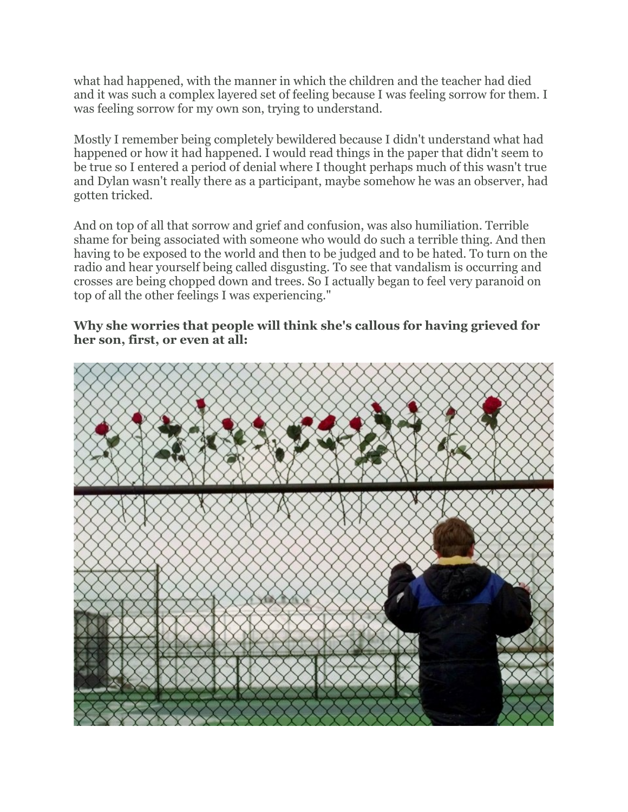what had happened, with the manner in which the children and the teacher had died and it was such a complex layered set of feeling because I was feeling sorrow for them. I was feeling sorrow for my own son, trying to understand.

Mostly I remember being completely bewildered because I didn't understand what had happened or how it had happened. I would read things in the paper that didn't seem to be true so I entered a period of denial where I thought perhaps much of this wasn't true and Dylan wasn't really there as a participant, maybe somehow he was an observer, had gotten tricked.

And on top of all that sorrow and grief and confusion, was also humiliation. Terrible shame for being associated with someone who would do such a terrible thing. And then having to be exposed to the world and then to be judged and to be hated. To turn on the radio and hear yourself being called disgusting. To see that vandalism is occurring and crosses are being chopped down and trees. So I actually began to feel very paranoid on top of all the other feelings I was experiencing."

#### **Why she worries that people will think she's callous for having grieved for her son, first, or even at all:**

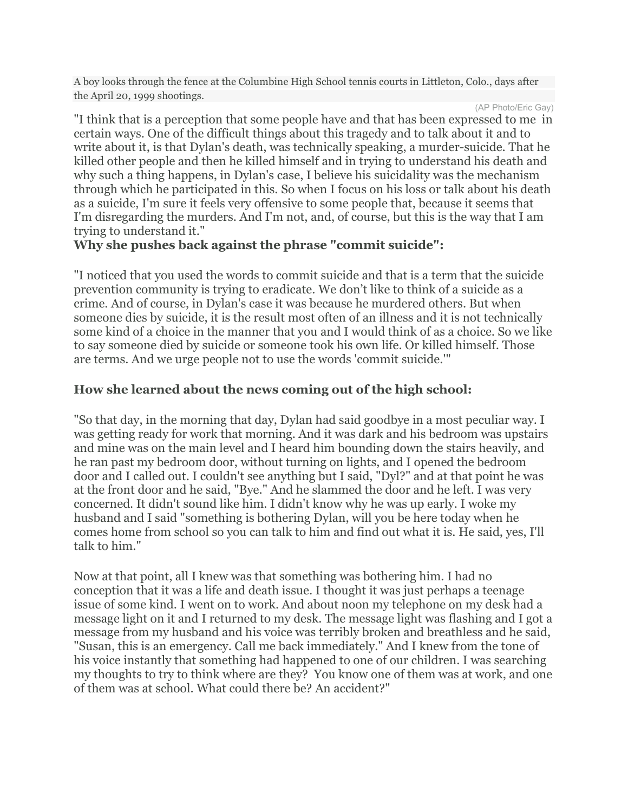A boy looks through the fence at the Columbine High School tennis courts in Littleton, Colo., days after the April 20, 1999 shootings.

(AP Photo/Eric Gay)

"I think that is a perception that some people have and that has been expressed to me in certain ways. One of the difficult things about this tragedy and to talk about it and to write about it, is that Dylan's death, was technically speaking, a murder-suicide. That he killed other people and then he killed himself and in trying to understand his death and why such a thing happens, in Dylan's case, I believe his suicidality was the mechanism through which he participated in this. So when I focus on his loss or talk about his death as a suicide, I'm sure it feels very offensive to some people that, because it seems that I'm disregarding the murders. And I'm not, and, of course, but this is the way that I am trying to understand it."

#### **Why she pushes back against the phrase "commit suicide":**

"I noticed that you used the words to commit suicide and that is a term that the suicide prevention community is trying to eradicate. We don't like to think of a suicide as a crime. And of course, in Dylan's case it was because he murdered others. But when someone dies by suicide, it is the result most often of an illness and it is not technically some kind of a choice in the manner that you and I would think of as a choice. So we like to say someone died by suicide or someone took his own life. Or killed himself. Those are terms. And we urge people not to use the words 'commit suicide.'"

# **How she learned about the news coming out of the high school:**

"So that day, in the morning that day, Dylan had said goodbye in a most peculiar way. I was getting ready for work that morning. And it was dark and his bedroom was upstairs and mine was on the main level and I heard him bounding down the stairs heavily, and he ran past my bedroom door, without turning on lights, and I opened the bedroom door and I called out. I couldn't see anything but I said, "Dyl?" and at that point he was at the front door and he said, "Bye." And he slammed the door and he left. I was very concerned. It didn't sound like him. I didn't know why he was up early. I woke my husband and I said "something is bothering Dylan, will you be here today when he comes home from school so you can talk to him and find out what it is. He said, yes, I'll talk to him."

Now at that point, all I knew was that something was bothering him. I had no conception that it was a life and death issue. I thought it was just perhaps a teenage issue of some kind. I went on to work. And about noon my telephone on my desk had a message light on it and I returned to my desk. The message light was flashing and I got a message from my husband and his voice was terribly broken and breathless and he said, "Susan, this is an emergency. Call me back immediately." And I knew from the tone of his voice instantly that something had happened to one of our children. I was searching my thoughts to try to think where are they? You know one of them was at work, and one of them was at school. What could there be? An accident?"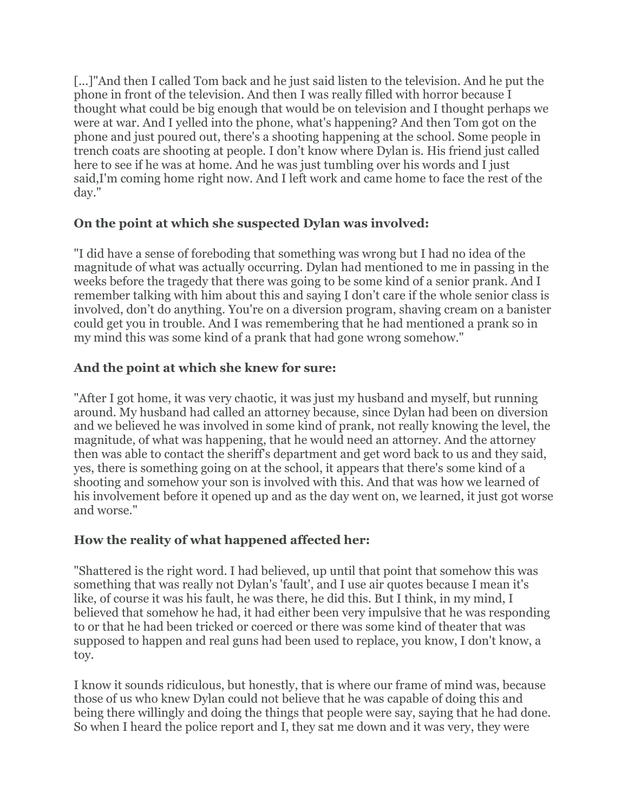[...]"And then I called Tom back and he just said listen to the television. And he put the phone in front of the television. And then I was really filled with horror because I thought what could be big enough that would be on television and I thought perhaps we were at war. And I yelled into the phone, what's happening? And then Tom got on the phone and just poured out, there's a shooting happening at the school. Some people in trench coats are shooting at people. I don't know where Dylan is. His friend just called here to see if he was at home. And he was just tumbling over his words and I just said,I'm coming home right now. And I left work and came home to face the rest of the day."

## **On the point at which she suspected Dylan was involved:**

"I did have a sense of foreboding that something was wrong but I had no idea of the magnitude of what was actually occurring. Dylan had mentioned to me in passing in the weeks before the tragedy that there was going to be some kind of a senior prank. And I remember talking with him about this and saying I don't care if the whole senior class is involved, don't do anything. You're on a diversion program, shaving cream on a banister could get you in trouble. And I was remembering that he had mentioned a prank so in my mind this was some kind of a prank that had gone wrong somehow."

# **And the point at which she knew for sure:**

"After I got home, it was very chaotic, it was just my husband and myself, but running around. My husband had called an attorney because, since Dylan had been on diversion and we believed he was involved in some kind of prank, not really knowing the level, the magnitude, of what was happening, that he would need an attorney. And the attorney then was able to contact the sheriff's department and get word back to us and they said, yes, there is something going on at the school, it appears that there's some kind of a shooting and somehow your son is involved with this. And that was how we learned of his involvement before it opened up and as the day went on, we learned, it just got worse and worse."

# **How the reality of what happened affected her:**

"Shattered is the right word. I had believed, up until that point that somehow this was something that was really not Dylan's 'fault', and I use air quotes because I mean it's like, of course it was his fault, he was there, he did this. But I think, in my mind, I believed that somehow he had, it had either been very impulsive that he was responding to or that he had been tricked or coerced or there was some kind of theater that was supposed to happen and real guns had been used to replace, you know, I don't know, a toy.

I know it sounds ridiculous, but honestly, that is where our frame of mind was, because those of us who knew Dylan could not believe that he was capable of doing this and being there willingly and doing the things that people were say, saying that he had done. So when I heard the police report and I, they sat me down and it was very, they were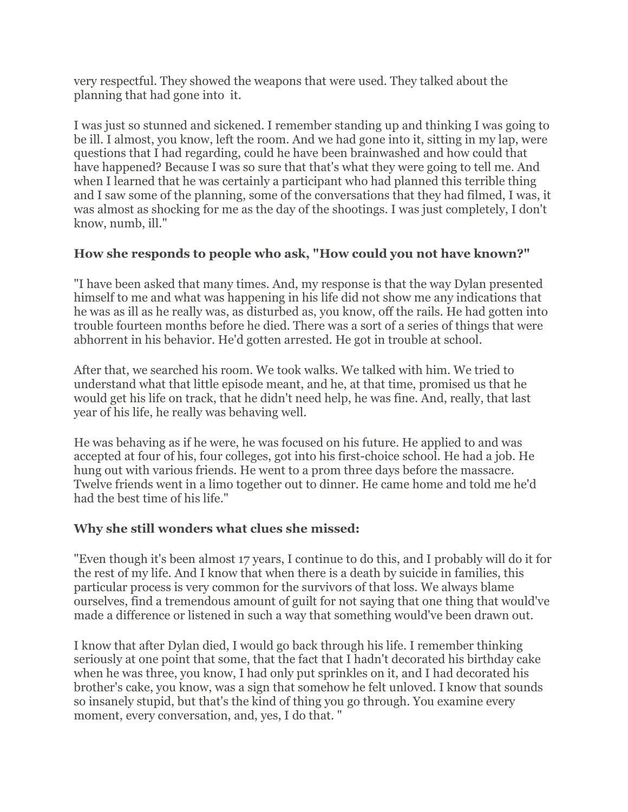very respectful. They showed the weapons that were used. They talked about the planning that had gone into it.

I was just so stunned and sickened. I remember standing up and thinking I was going to be ill. I almost, you know, left the room. And we had gone into it, sitting in my lap, were questions that I had regarding, could he have been brainwashed and how could that have happened? Because I was so sure that that's what they were going to tell me. And when I learned that he was certainly a participant who had planned this terrible thing and I saw some of the planning, some of the conversations that they had filmed, I was, it was almost as shocking for me as the day of the shootings. I was just completely, I don't know, numb, ill."

## **How she responds to people who ask, "How could you not have known?"**

"I have been asked that many times. And, my response is that the way Dylan presented himself to me and what was happening in his life did not show me any indications that he was as ill as he really was, as disturbed as, you know, off the rails. He had gotten into trouble fourteen months before he died. There was a sort of a series of things that were abhorrent in his behavior. He'd gotten arrested. He got in trouble at school.

After that, we searched his room. We took walks. We talked with him. We tried to understand what that little episode meant, and he, at that time, promised us that he would get his life on track, that he didn't need help, he was fine. And, really, that last year of his life, he really was behaving well.

He was behaving as if he were, he was focused on his future. He applied to and was accepted at four of his, four colleges, got into his first-choice school. He had a job. He hung out with various friends. He went to a prom three days before the massacre. Twelve friends went in a limo together out to dinner. He came home and told me he'd had the best time of his life."

#### **Why she still wonders what clues she missed:**

"Even though it's been almost 17 years, I continue to do this, and I probably will do it for the rest of my life. And I know that when there is a death by suicide in families, this particular process is very common for the survivors of that loss. We always blame ourselves, find a tremendous amount of guilt for not saying that one thing that would've made a difference or listened in such a way that something would've been drawn out.

I know that after Dylan died, I would go back through his life. I remember thinking seriously at one point that some, that the fact that I hadn't decorated his birthday cake when he was three, you know, I had only put sprinkles on it, and I had decorated his brother's cake, you know, was a sign that somehow he felt unloved. I know that sounds so insanely stupid, but that's the kind of thing you go through. You examine every moment, every conversation, and, yes, I do that. "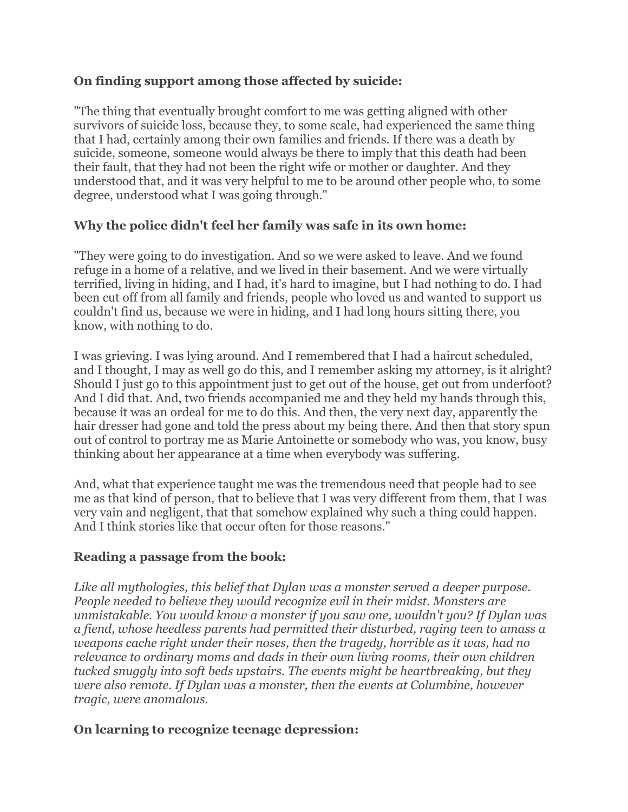## **On finding support among those affected by suicide:**

"The thing that eventually brought comfort to me was getting aligned with other survivors of suicide loss, because they, to some scale, had experienced the same thing that I had, certainly among their own families and friends. If there was a death by suicide, someone, someone would always be there to imply that this death had been their fault, that they had not been the right wife or mother or daughter. And they understood that, and it was very helpful to me to be around other people who, to some degree, understood what I was going through."

#### **Why the police didn't feel her family was safe in its own home:**

"They were going to do investigation. And so we were asked to leave. And we found refuge in a home of a relative, and we lived in their basement. And we were virtually terrified, living in hiding, and I had, it's hard to imagine, but I had nothing to do. I had been cut off from all family and friends, people who loved us and wanted to support us couldn't find us, because we were in hiding, and I had long hours sitting there, you know, with nothing to do.

I was grieving. I was lying around. And I remembered that I had a haircut scheduled, and I thought, I may as well go do this, and I remember asking my attorney, is it alright? Should I just go to this appointment just to get out of the house, get out from underfoot? And I did that. And, two friends accompanied me and they held my hands through this, because it was an ordeal for me to do this. And then, the very next day, apparently the hair dresser had gone and told the press about my being there. And then that story spun out of control to portray me as Marie Antoinette or somebody who was, you know, busy thinking about her appearance at a time when everybody was suffering.

And, what that experience taught me was the tremendous need that people had to see me as that kind of person, that to believe that I was very different from them, that I was very vain and negligent, that that somehow explained why such a thing could happen. And I think stories like that occur often for those reasons."

#### **Reading a passage from the book:**

*Like all mythologies, this belief that Dylan was a monster served a deeper purpose. People needed to believe they would recognize evil in their midst. Monsters are unmistakable. You would know a monster if you saw one, wouldn't you? If Dylan was a fiend, whose heedless parents had permitted their disturbed, raging teen to amass a weapons cache right under their noses, then the tragedy, horrible as it was, had no relevance to ordinary moms and dads in their own living rooms, their own children tucked snuggly into soft beds upstairs. The events might be heartbreaking, but they were also remote. If Dylan was a monster, then the events at Columbine, however tragic, were anomalous.*

#### **On learning to recognize teenage depression:**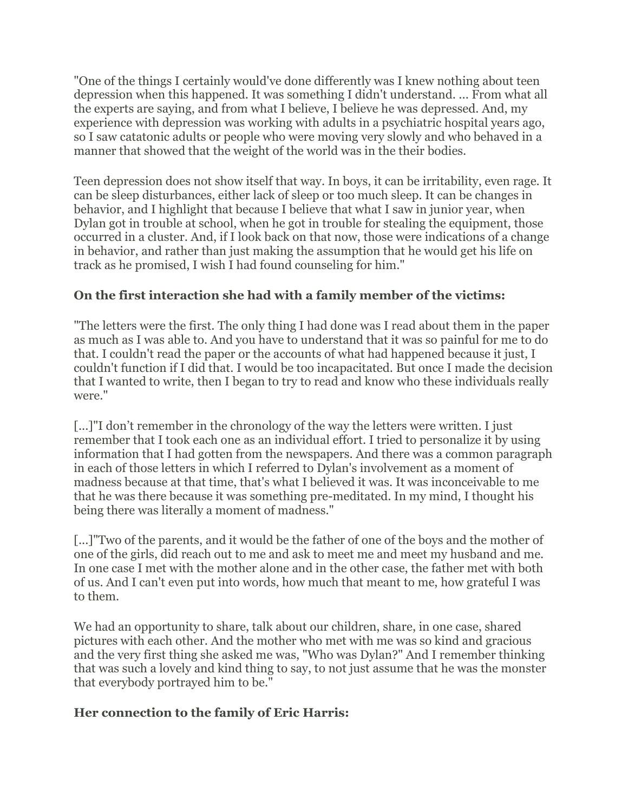"One of the things I certainly would've done differently was I knew nothing about teen depression when this happened. It was something I didn't understand. ... From what all the experts are saying, and from what I believe, I believe he was depressed. And, my experience with depression was working with adults in a psychiatric hospital years ago, so I saw catatonic adults or people who were moving very slowly and who behaved in a manner that showed that the weight of the world was in the their bodies.

Teen depression does not show itself that way. In boys, it can be irritability, even rage. It can be sleep disturbances, either lack of sleep or too much sleep. It can be changes in behavior, and I highlight that because I believe that what I saw in junior year, when Dylan got in trouble at school, when he got in trouble for stealing the equipment, those occurred in a cluster. And, if I look back on that now, those were indications of a change in behavior, and rather than just making the assumption that he would get his life on track as he promised, I wish I had found counseling for him."

# **On the first interaction she had with a family member of the victims:**

"The letters were the first. The only thing I had done was I read about them in the paper as much as I was able to. And you have to understand that it was so painful for me to do that. I couldn't read the paper or the accounts of what had happened because it just, I couldn't function if I did that. I would be too incapacitated. But once I made the decision that I wanted to write, then I began to try to read and know who these individuals really were."

[...]"I don't remember in the chronology of the way the letters were written. I just remember that I took each one as an individual effort. I tried to personalize it by using information that I had gotten from the newspapers. And there was a common paragraph in each of those letters in which I referred to Dylan's involvement as a moment of madness because at that time, that's what I believed it was. It was inconceivable to me that he was there because it was something pre-meditated. In my mind, I thought his being there was literally a moment of madness."

[...]"Two of the parents, and it would be the father of one of the boys and the mother of one of the girls, did reach out to me and ask to meet me and meet my husband and me. In one case I met with the mother alone and in the other case, the father met with both of us. And I can't even put into words, how much that meant to me, how grateful I was to them.

We had an opportunity to share, talk about our children, share, in one case, shared pictures with each other. And the mother who met with me was so kind and gracious and the very first thing she asked me was, "Who was Dylan?" And I remember thinking that was such a lovely and kind thing to say, to not just assume that he was the monster that everybody portrayed him to be."

#### **Her connection to the family of Eric Harris:**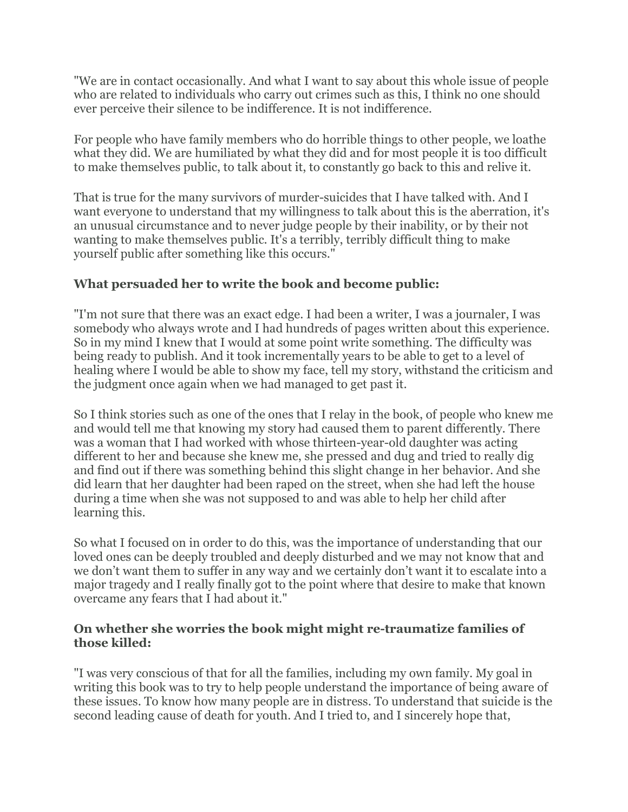"We are in contact occasionally. And what I want to say about this whole issue of people who are related to individuals who carry out crimes such as this, I think no one should ever perceive their silence to be indifference. It is not indifference.

For people who have family members who do horrible things to other people, we loathe what they did. We are humiliated by what they did and for most people it is too difficult to make themselves public, to talk about it, to constantly go back to this and relive it.

That is true for the many survivors of murder-suicides that I have talked with. And I want everyone to understand that my willingness to talk about this is the aberration, it's an unusual circumstance and to never judge people by their inability, or by their not wanting to make themselves public. It's a terribly, terribly difficult thing to make yourself public after something like this occurs."

# **What persuaded her to write the book and become public:**

"I'm not sure that there was an exact edge. I had been a writer, I was a journaler, I was somebody who always wrote and I had hundreds of pages written about this experience. So in my mind I knew that I would at some point write something. The difficulty was being ready to publish. And it took incrementally years to be able to get to a level of healing where I would be able to show my face, tell my story, withstand the criticism and the judgment once again when we had managed to get past it.

So I think stories such as one of the ones that I relay in the book, of people who knew me and would tell me that knowing my story had caused them to parent differently. There was a woman that I had worked with whose thirteen-year-old daughter was acting different to her and because she knew me, she pressed and dug and tried to really dig and find out if there was something behind this slight change in her behavior. And she did learn that her daughter had been raped on the street, when she had left the house during a time when she was not supposed to and was able to help her child after learning this.

So what I focused on in order to do this, was the importance of understanding that our loved ones can be deeply troubled and deeply disturbed and we may not know that and we don't want them to suffer in any way and we certainly don't want it to escalate into a major tragedy and I really finally got to the point where that desire to make that known overcame any fears that I had about it."

#### **On whether she worries the book might might re-traumatize families of those killed:**

"I was very conscious of that for all the families, including my own family. My goal in writing this book was to try to help people understand the importance of being aware of these issues. To know how many people are in distress. To understand that suicide is the second leading cause of death for youth. And I tried to, and I sincerely hope that,